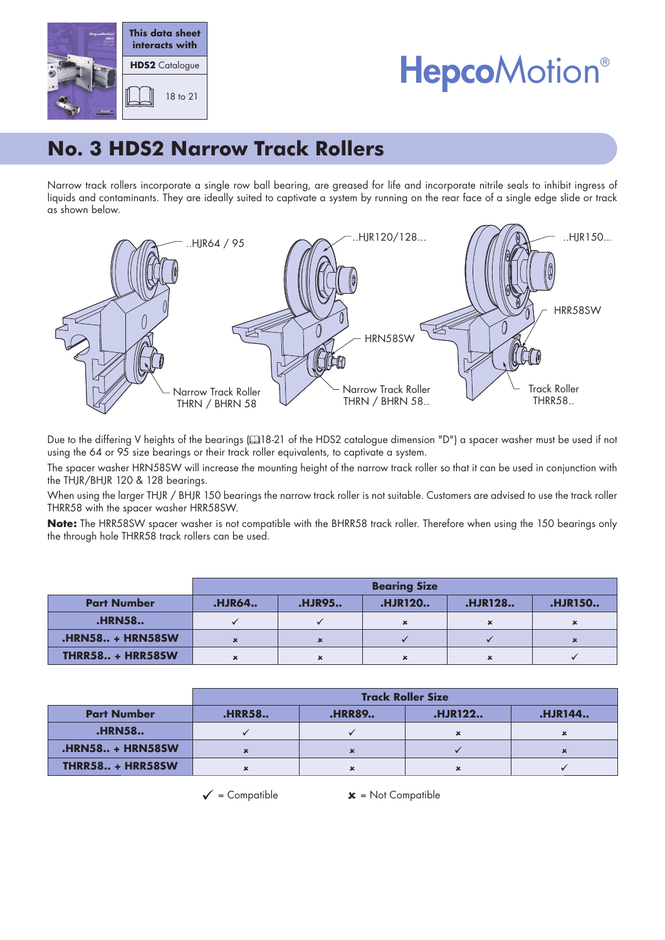



## **No. 3 HDS2 Narrow Track Rollers**

Narrow track rollers incorporate a single row ball bearing, are greased for life and incorporate nitrile seals to inhibit ingress of liquids and contaminants. They are ideally suited to captivate a system by running on the rear face of a single edge slide or track as shown below.



Due to the differing V heights of the bearings (418-21 of the HDS2 catalogue dimension "D") a spacer washer must be used if not using the 64 or 95 size bearings or their track roller equivalents, to captivate a system.

The spacer washer HRN58SW will increase the mounting height of the narrow track roller so that it can be used in conjunction with the THJR/BHJR 120 & 128 bearings.

When using the larger THJR / BHJR 150 bearings the narrow track roller is not suitable. Customers are advised to use the track roller THRR58 with the spacer washer HRR58SW.

**Note:** The HRR58SW spacer washer is not compatible with the BHRR58 track roller. Therefore when using the 150 bearings only the through hole THRR58 track rollers can be used.

|                         | <b>Bearing Size</b> |               |                |                           |                |  |
|-------------------------|---------------------|---------------|----------------|---------------------------|----------------|--|
| <b>Part Number</b>      | <b>.HJR64</b>       | <b>.HJR95</b> | <b>.HJR120</b> | <b>.HJR128</b>            | <b>.HJR150</b> |  |
| <b>.HRN58</b>           |                     |               | $\mathbf{x}$   | $\boldsymbol{\mathsf{x}}$ |                |  |
| <b>.HRN58 + HRN58SW</b> |                     |               |                |                           |                |  |
| <b>THRR58 + HRR58SW</b> | $\checkmark$        |               |                | $\mathbf x$               |                |  |

|                         | <b>Track Roller Size</b> |               |                |                |  |  |
|-------------------------|--------------------------|---------------|----------------|----------------|--|--|
| <b>Part Number</b>      | <b>.HRR58</b>            | <b>.HRR89</b> | <b>.HJR122</b> | <b>.HJR144</b> |  |  |
| <b>.HRN58</b>           |                          |               | ×              | ×              |  |  |
| <b>.HRN58 + HRN58SW</b> | $\mathbf x$              |               |                | ×              |  |  |
| <b>THRR58 + HRR58SW</b> | $\mathbf x$              |               |                |                |  |  |

 $\checkmark$  = Compatible  $\checkmark$  = Not Compatible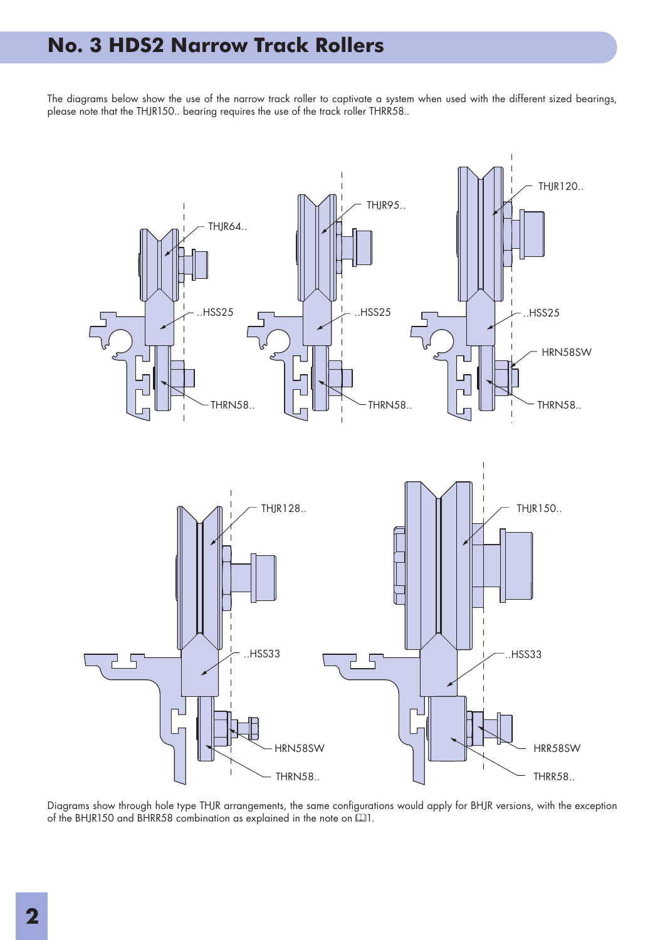## **No. 3 HDS2 Narrow Track Rollers**

The diagrams below show the use of the narrow track roller to captivate a system when used with the different sized bearings, please note that the THJR150.. bearing requires the use of the track roller THRR58..



Diagrams show through hole type THJR arrangements, the same configurations would apply for BHJR versions, with the exception of the BHJR150 and BHRR58 combination as explained in the note on  $\Box$ 1.